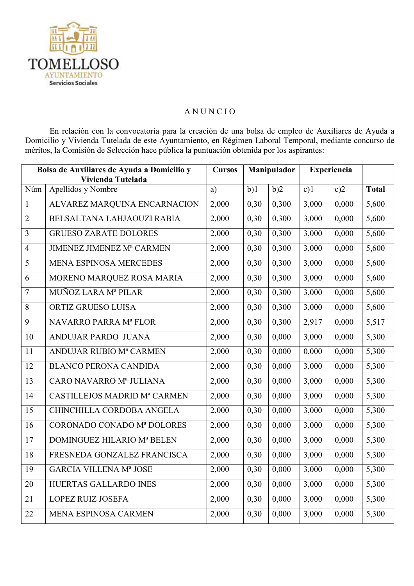

## **ANUNCIO**

En relación con la convocatoria para la creación de una bolsa de empleo de Auxiliares de Ayuda a Domicilio y Vivienda Tutelada de este Ayuntamiento, en Régimen Laboral Temporal, mediante concurso de méritos, la Comisión de Selección hace pública la puntuación obtenida por los aspirantes:

| Bolsa de Auxiliares de Ayuda a Domicilio y<br>Vivienda Tutelada |                                  | <b>Cursos</b> | Manipulador |       | <b>Experiencia</b> |       |              |
|-----------------------------------------------------------------|----------------------------------|---------------|-------------|-------|--------------------|-------|--------------|
| Núm                                                             | Apellidos y Nombre               | a)            | b)1         | b)2   | c)1                | c)2   | <b>Total</b> |
| $\mathbf{1}$                                                    | ALVAREZ MARQUINA ENCARNACION     | 2,000         | 0,30        | 0,300 | 3,000              | 0,000 | 5,600        |
| $\overline{2}$                                                  | BELSALTANA LAHJAOUZI RABIA       | 2,000         | 0,30        | 0,300 | 3,000              | 0,000 | 5,600        |
| $\overline{3}$                                                  | <b>GRUESO ZARATE DOLORES</b>     | 2,000         | 0,30        | 0,300 | 3,000              | 0,000 | 5,600        |
| $\overline{4}$                                                  | <b>JIMENEZ JIMENEZ Mª CARMEN</b> | 2,000         | 0,30        | 0,300 | 3,000              | 0,000 | 5,600        |
| 5                                                               | <b>MENA ESPINOSA MERCEDES</b>    | 2,000         | 0,30        | 0,300 | 3,000              | 0,000 | 5,600        |
| 6                                                               | MORENO MARQUEZ ROSA MARIA        | 2,000         | 0,30        | 0,300 | 3,000              | 0,000 | 5,600        |
| $\overline{7}$                                                  | MUÑOZ LARA Mª PILAR              | 2,000         | 0,30        | 0,300 | 3,000              | 0,000 | 5,600        |
| 8                                                               | ORTIZ GRUESO LUISA               | 2,000         | 0,30        | 0,300 | 3,000              | 0,000 | 5,600        |
| 9                                                               | NAVARRO PARRA Mª FLOR            | 2,000         | 0,30        | 0,300 | 2,917              | 0,000 | 5,517        |
| 10                                                              | ANDUJAR PARDO JUANA              | 2,000         | 0,30        | 0,000 | 3,000              | 0,000 | 5,300        |
| 11                                                              | ANDUJAR RUBIO Mª CARMEN          | 2,000         | 0,30        | 0,000 | 0,000              | 0,000 | 5,300        |
| 12                                                              | <b>BLANCO PERONA CANDIDA</b>     | 2,000         | 0,30        | 0,000 | 3,000              | 0,000 | 5,300        |
| 13                                                              | CARO NAVARRO Mª JULIANA          | 2,000         | 0,30        | 0,000 | 3,000              | 0,000 | 5,300        |
| 14                                                              | CASTILLEJOS MADRID Mª CARMEN     | 2,000         | 0,30        | 0,000 | 3,000              | 0,000 | 5,300        |
| 15                                                              | CHINCHILLA CORDOBA ANGELA        | 2,000         | 0,30        | 0,000 | 3,000              | 0,000 | 5,300        |
| 16                                                              | CORONADO CONADO Mª DOLORES       | 2,000         | 0,30        | 0,000 | 3,000              | 0,000 | 5,300        |
| 17                                                              | DOMINGUEZ HILARIO Mª BELEN       | 2,000         | 0,30        | 0,000 | 3,000              | 0,000 | 5,300        |
| 18                                                              | FRESNEDA GONZALEZ FRANCISCA      | 2,000         | 0,30        | 0,000 | 3,000              | 0,000 | 5,300        |
| 19                                                              | <b>GARCIA VILLENA Mª JOSE</b>    | 2,000         | 0,30        | 0,000 | 3,000              | 0,000 | 5,300        |
| 20                                                              | HUERTAS GALLARDO INES            | 2,000         | 0,30        | 0,000 | 3,000              | 0,000 | 5,300        |
| 21                                                              | <b>LOPEZ RUIZ JOSEFA</b>         | 2,000         | 0,30        | 0,000 | 3,000              | 0,000 | 5,300        |
| 22                                                              | MENA ESPINOSA CARMEN             | 2,000         | 0,30        | 0,000 | 3,000              | 0,000 | 5,300        |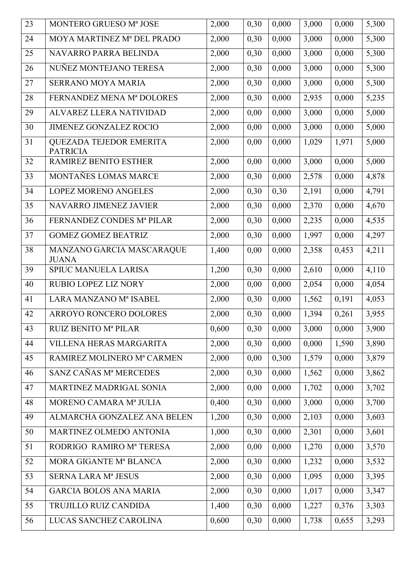| 23 | MONTERO GRUESO Mª JOSE                     | 2,000 | 0,30 | 0,000 | 3,000 | 0,000 | 5,300 |
|----|--------------------------------------------|-------|------|-------|-------|-------|-------|
| 24 | MOYA MARTINEZ Mª DEL PRADO                 | 2,000 | 0,30 | 0,000 | 3,000 | 0,000 | 5,300 |
| 25 | NAVARRO PARRA BELINDA                      | 2,000 | 0,30 | 0,000 | 3,000 | 0,000 | 5,300 |
| 26 | NUÑEZ MONTEJANO TERESA                     | 2,000 | 0,30 | 0,000 | 3,000 | 0,000 | 5,300 |
| 27 | <b>SERRANO MOYA MARIA</b>                  | 2,000 | 0,30 | 0,000 | 3,000 | 0,000 | 5,300 |
| 28 | FERNANDEZ MENA Mª DOLORES                  | 2,000 | 0,30 | 0,000 | 2,935 | 0,000 | 5,235 |
| 29 | ALVAREZ LLERA NATIVIDAD                    | 2,000 | 0,00 | 0,000 | 3,000 | 0,000 | 5,000 |
| 30 | <b>JIMENEZ GONZALEZ ROCIO</b>              | 2,000 | 0,00 | 0,000 | 3,000 | 0,000 | 5,000 |
| 31 | QUEZADA TEJEDOR EMERITA<br><b>PATRICIA</b> | 2,000 | 0,00 | 0,000 | 1,029 | 1,971 | 5,000 |
| 32 | RAMIREZ BENITO ESTHER                      | 2,000 | 0,00 | 0,000 | 3,000 | 0,000 | 5,000 |
| 33 | MONTAÑES LOMAS MARCE                       | 2,000 | 0,30 | 0,000 | 2,578 | 0,000 | 4,878 |
| 34 | <b>LOPEZ MORENO ANGELES</b>                | 2,000 | 0,30 | 0,30  | 2,191 | 0,000 | 4,791 |
| 35 | NAVARRO JIMENEZ JAVIER                     | 2,000 | 0,30 | 0,000 | 2,370 | 0,000 | 4,670 |
| 36 | FERNANDEZ CONDES Mª PILAR                  | 2,000 | 0,30 | 0,000 | 2,235 | 0,000 | 4,535 |
| 37 | <b>GOMEZ GOMEZ BEATRIZ</b>                 | 2,000 | 0,30 | 0,000 | 1,997 | 0,000 | 4,297 |
| 38 | MANZANO GARCIA MASCARAQUE<br><b>JUANA</b>  | 1,400 | 0,00 | 0,000 | 2,358 | 0,453 | 4,211 |
| 39 | SPIUC MANUELA LARISA                       | 1,200 | 0,30 | 0,000 | 2,610 | 0,000 | 4,110 |
| 40 | RUBIO LOPEZ LIZ NORY                       | 2,000 | 0,00 | 0,000 | 2,054 | 0,000 | 4,054 |
| 41 | LARA MANZANO Mª ISABEL                     | 2,000 | 0,30 | 0,000 | 1,562 | 0,191 | 4,053 |
| 42 | ARROYO RONCERO DOLORES                     | 2,000 | 0,30 | 0,000 | 1,394 | 0,261 | 3,955 |
| 43 | <b>RUIZ BENITO Mª PILAR</b>                | 0,600 | 0,30 | 0,000 | 3,000 | 0,000 | 3,900 |
| 44 | VILLENA HERAS MARGARITA                    | 2,000 | 0,30 | 0,000 | 0,000 | 1,590 | 3,890 |
| 45 | RAMIREZ MOLINERO Mª CARMEN                 | 2,000 | 0,00 | 0,300 | 1,579 | 0,000 | 3,879 |
| 46 | SANZ CAÑAS Mª MERCEDES                     | 2,000 | 0,30 | 0,000 | 1,562 | 0,000 | 3,862 |
| 47 | MARTINEZ MADRIGAL SONIA                    | 2,000 | 0,00 | 0,000 | 1,702 | 0,000 | 3,702 |
| 48 | MORENO CAMARA Mª JULIA                     | 0,400 | 0,30 | 0,000 | 3,000 | 0,000 | 3,700 |
| 49 | ALMARCHA GONZALEZ ANA BELEN                | 1,200 | 0,30 | 0,000 | 2,103 | 0,000 | 3,603 |
| 50 | MARTINEZ OLMEDO ANTONIA                    | 1,000 | 0,30 | 0,000 | 2,301 | 0,000 | 3,601 |
| 51 | RODRIGO RAMIRO Mª TERESA                   | 2,000 | 0,00 | 0,000 | 1,270 | 0,000 | 3,570 |
| 52 | MORA GIGANTE Mª BLANCA                     | 2,000 | 0,30 | 0,000 | 1,232 | 0,000 | 3,532 |
| 53 | <b>SERNA LARA Mª JESUS</b>                 | 2,000 | 0,30 | 0,000 | 1,095 | 0,000 | 3,395 |
| 54 | <b>GARCIA BOLOS ANA MARIA</b>              | 2,000 | 0,30 | 0,000 | 1,017 | 0,000 | 3,347 |
| 55 | TRUJILLO RUIZ CANDIDA                      | 1,400 | 0,30 | 0,000 | 1,227 | 0,376 | 3,303 |
| 56 | LUCAS SANCHEZ CAROLINA                     | 0,600 | 0,30 | 0,000 | 1,738 | 0,655 | 3,293 |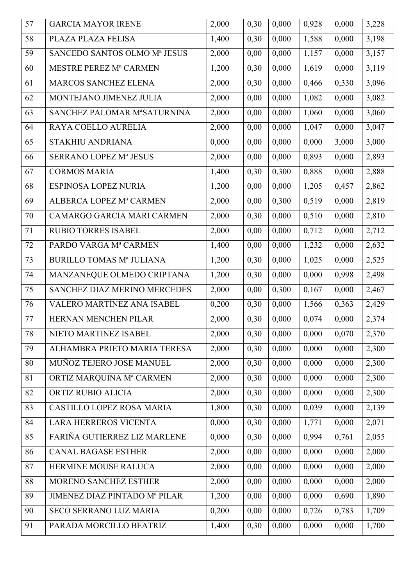| 57 | <b>GARCIA MAYOR IRENE</b>           | 2,000 | 0,30 | 0,000 | 0,928 | 0,000 | 3,228 |
|----|-------------------------------------|-------|------|-------|-------|-------|-------|
| 58 | PLAZA PLAZA FELISA                  | 1,400 | 0,30 | 0,000 | 1,588 | 0,000 | 3,198 |
| 59 | SANCEDO SANTOS OLMO Mª JESUS        | 2,000 | 0,00 | 0,000 | 1,157 | 0,000 | 3,157 |
| 60 | MESTRE PEREZ Mª CARMEN              | 1,200 | 0,30 | 0,000 | 1,619 | 0,000 | 3,119 |
| 61 | <b>MARCOS SANCHEZ ELENA</b>         | 2,000 | 0,30 | 0,000 | 0,466 | 0,330 | 3,096 |
| 62 | MONTEJANO JIMENEZ JULIA             | 2,000 | 0,00 | 0,000 | 1,082 | 0,000 | 3,082 |
| 63 | SANCHEZ PALOMAR MªSATURNINA         | 2,000 | 0,00 | 0,000 | 1,060 | 0,000 | 3,060 |
| 64 | RAYA COELLO AURELIA                 | 2,000 | 0,00 | 0,000 | 1,047 | 0,000 | 3,047 |
| 65 | STAKHIU ANDRIANA                    | 0,000 | 0,00 | 0,000 | 0,000 | 3,000 | 3,000 |
| 66 | SERRANO LOPEZ Mª JESUS              | 2,000 | 0,00 | 0,000 | 0,893 | 0,000 | 2,893 |
| 67 | <b>CORMOS MARIA</b>                 | 1,400 | 0,30 | 0,300 | 0,888 | 0,000 | 2,888 |
| 68 | <b>ESPINOSA LOPEZ NURIA</b>         | 1,200 | 0,00 | 0,000 | 1,205 | 0,457 | 2,862 |
| 69 | ALBERCA LOPEZ Mª CARMEN             | 2,000 | 0,00 | 0,300 | 0,519 | 0,000 | 2,819 |
| 70 | CAMARGO GARCIA MARI CARMEN          | 2,000 | 0,30 | 0,000 | 0,510 | 0,000 | 2,810 |
| 71 | RUBIO TORRES ISABEL                 | 2,000 | 0,00 | 0,000 | 0,712 | 0,000 | 2,712 |
| 72 | PARDO VARGA Mª CARMEN               | 1,400 | 0,00 | 0,000 | 1,232 | 0,000 | 2,632 |
| 73 | <b>BURILLO TOMAS Mª JULIANA</b>     | 1,200 | 0,30 | 0,000 | 1,025 | 0,000 | 2,525 |
| 74 | MANZANEQUE OLMEDO CRIPTANA          | 1,200 | 0,30 | 0,000 | 0,000 | 0,998 | 2,498 |
| 75 | <b>SANCHEZ DIAZ MERINO MERCEDES</b> | 2,000 | 0,00 | 0,300 | 0,167 | 0,000 | 2,467 |
| 76 | <b>VALERO MARTÍNEZ ANA ISABEL</b>   | 0,200 | 0,30 | 0,000 | 1,566 | 0,363 | 2,429 |
| 77 | HERNAN MENCHEN PILAR                | 2,000 | 0,30 | 0,000 | 0,074 | 0,000 | 2,374 |
| 78 | NIETO MARTINEZ ISABEL               | 2,000 | 0,30 | 0,000 | 0,000 | 0,070 | 2,370 |
| 79 | ALHAMBRA PRIETO MARIA TERESA        | 2,000 | 0,30 | 0,000 | 0,000 | 0,000 | 2,300 |
| 80 | MUÑOZ TEJERO JOSE MANUEL            | 2,000 | 0,30 | 0,000 | 0,000 | 0,000 | 2,300 |
| 81 | ORTIZ MARQUINA Mª CARMEN            | 2,000 | 0,30 | 0,000 | 0,000 | 0,000 | 2,300 |
| 82 | ORTIZ RUBIO ALICIA                  | 2,000 | 0,30 | 0,000 | 0,000 | 0,000 | 2,300 |
| 83 | <b>CASTILLO LOPEZ ROSA MARIA</b>    | 1,800 | 0,30 | 0,000 | 0.039 | 0,000 | 2,139 |
| 84 | <b>LARA HERREROS VICENTA</b>        | 0,000 | 0,30 | 0,000 | 1,771 | 0,000 | 2,071 |
| 85 | FARIÑA GUTIERREZ LIZ MARLENE        | 0,000 | 0,30 | 0,000 | 0,994 | 0,761 | 2,055 |
| 86 | <b>CANAL BAGASE ESTHER</b>          | 2,000 | 0,00 | 0,000 | 0,000 | 0,000 | 2,000 |
| 87 | HERMINE MOUSE RALUCA                | 2,000 | 0,00 | 0,000 | 0,000 | 0,000 | 2,000 |
| 88 | MORENO SANCHEZ ESTHER               | 2,000 | 0,00 | 0,000 | 0,000 | 0,000 | 2,000 |
| 89 | JIMENEZ DIAZ PINTADO Mª PILAR       | 1,200 | 0,00 | 0,000 | 0,000 | 0,690 | 1,890 |
| 90 | SECO SERRANO LUZ MARIA              | 0,200 | 0,00 | 0,000 | 0,726 | 0,783 | 1,709 |
| 91 | PARADA MORCILLO BEATRIZ             | 1,400 | 0,30 | 0,000 | 0,000 | 0,000 | 1,700 |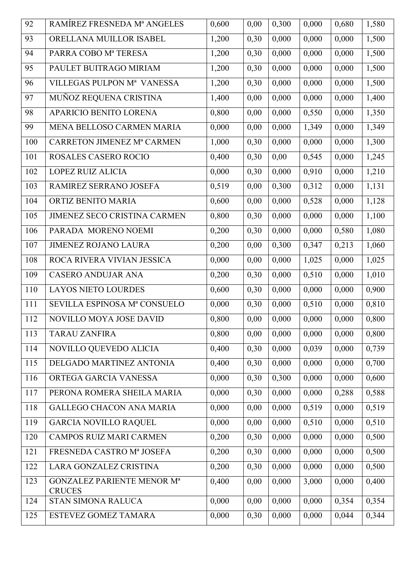| 92  | RAMÍREZ FRESNEDA Mª ANGELES                        | 0,600 | 0,00 | 0,300 | 0,000 | 0,680 | 1,580 |
|-----|----------------------------------------------------|-------|------|-------|-------|-------|-------|
| 93  | ORELLANA MUILLOR ISABEL                            | 1,200 | 0,30 | 0,000 | 0,000 | 0,000 | 1,500 |
| 94  | PARRA COBO Mª TERESA                               | 1,200 | 0,30 | 0,000 | 0,000 | 0,000 | 1,500 |
| 95  | PAULET BUITRAGO MIRIAM                             | 1,200 | 0,30 | 0,000 | 0,000 | 0,000 | 1,500 |
| 96  | VILLEGAS PULPON Mª VANESSA                         | 1,200 | 0,30 | 0,000 | 0,000 | 0,000 | 1,500 |
| 97  | MUÑOZ REQUENA CRISTINA                             | 1,400 | 0,00 | 0,000 | 0,000 | 0,000 | 1,400 |
| 98  | APARICIO BENITO LORENA                             | 0,800 | 0,00 | 0,000 | 0,550 | 0,000 | 1,350 |
| 99  | MENA BELLOSO CARMEN MARIA                          | 0,000 | 0,00 | 0,000 | 1,349 | 0,000 | 1,349 |
| 100 | <b>CARRETON JIMENEZ Mª CARMEN</b>                  | 1,000 | 0,30 | 0,000 | 0,000 | 0,000 | 1,300 |
| 101 | ROSALES CASERO ROCIO                               | 0,400 | 0,30 | 0,00  | 0,545 | 0,000 | 1,245 |
| 102 | LOPEZ RUIZ ALICIA                                  | 0,000 | 0,30 | 0,000 | 0,910 | 0,000 | 1,210 |
| 103 | RAMIREZ SERRANO JOSEFA                             | 0,519 | 0,00 | 0,300 | 0,312 | 0,000 | 1,131 |
| 104 | ORTIZ BENITO MARIA                                 | 0,600 | 0,00 | 0,000 | 0,528 | 0,000 | 1,128 |
| 105 | JIMENEZ SECO CRISTINA CARMEN                       | 0,800 | 0,30 | 0,000 | 0,000 | 0,000 | 1,100 |
| 106 | PARADA MORENO NOEMI                                | 0,200 | 0,30 | 0,000 | 0,000 | 0,580 | 1,080 |
| 107 | <b>JIMENEZ ROJANO LAURA</b>                        | 0,200 | 0,00 | 0,300 | 0,347 | 0,213 | 1,060 |
| 108 | ROCA RIVERA VIVIAN JESSICA                         | 0,000 | 0,00 | 0,000 | 1,025 | 0,000 | 1,025 |
| 109 | <b>CASERO ANDUJAR ANA</b>                          | 0,200 | 0,30 | 0,000 | 0,510 | 0,000 | 1,010 |
| 110 | <b>LAYOS NIETO LOURDES</b>                         | 0,600 | 0,30 | 0,000 | 0,000 | 0,000 | 0,900 |
| 111 | SEVILLA ESPINOSA Mª CONSUELO                       | 0,000 | 0,30 | 0,000 | 0,510 | 0,000 | 0,810 |
| 112 | NOVILLO MOYA JOSE DAVID                            | 0,800 | 0,00 | 0,000 | 0,000 | 0,000 | 0,800 |
| 113 | <b>TARAU ZANFIRA</b>                               | 0,800 | 0,00 | 0,000 | 0,000 | 0,000 | 0,800 |
| 114 | <b>NOVILLO QUEVEDO ALICIA</b>                      | 0,400 | 0,30 | 0,000 | 0,039 | 0,000 | 0,739 |
| 115 | DELGADO MARTINEZ ANTONIA                           | 0,400 | 0,30 | 0,000 | 0,000 | 0,000 | 0,700 |
| 116 | ORTEGA GARCIA VANESSA                              | 0,000 | 0,30 | 0,300 | 0,000 | 0,000 | 0,600 |
| 117 | PERONA ROMERA SHEILA MARIA                         | 0,000 | 0,30 | 0,000 | 0,000 | 0,288 | 0,588 |
| 118 | <b>GALLEGO CHACON ANA MARIA</b>                    | 0,000 | 0,00 | 0,000 | 0,519 | 0,000 | 0,519 |
| 119 | <b>GARCIA NOVILLO RAQUEL</b>                       | 0,000 | 0,00 | 0,000 | 0,510 | 0,000 | 0,510 |
| 120 | CAMPOS RUIZ MARI CARMEN                            | 0,200 | 0,30 | 0,000 | 0,000 | 0,000 | 0,500 |
| 121 | FRESNEDA CASTRO Mª JOSEFA                          | 0,200 | 0,30 | 0,000 | 0,000 | 0,000 | 0,500 |
| 122 | LARA GONZALEZ CRISTINA                             | 0,200 | 0,30 | 0,000 | 0,000 | 0,000 | 0,500 |
| 123 | <b>GONZALEZ PARIENTE MENOR Mª</b><br><b>CRUCES</b> | 0,400 | 0,00 | 0,000 | 3,000 | 0,000 | 0,400 |
| 124 | <b>STAN SIMONA RALUCA</b>                          | 0,000 | 0,00 | 0,000 | 0,000 | 0,354 | 0,354 |
| 125 | ESTEVEZ GOMEZ TAMARA                               | 0,000 | 0,30 | 0,000 | 0,000 | 0,044 | 0,344 |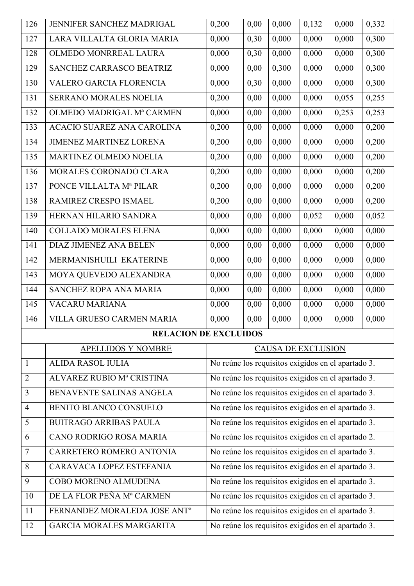| 126            | JENNIFER SANCHEZ MADRIGAL                | 0,200                                              | 0,00                      | 0,000 | 0,132 | 0,000 | 0,332 |  |  |
|----------------|------------------------------------------|----------------------------------------------------|---------------------------|-------|-------|-------|-------|--|--|
| 127            | LARA VILLALTA GLORIA MARIA               | 0,000                                              | 0,30                      | 0,000 | 0,000 | 0,000 | 0,300 |  |  |
| 128            | OLMEDO MONRREAL LAURA                    | 0,000                                              | 0,30                      | 0,000 | 0,000 | 0,000 | 0,300 |  |  |
| 129            | SANCHEZ CARRASCO BEATRIZ                 | 0,000                                              | 0,00                      | 0,300 | 0,000 | 0,000 | 0,300 |  |  |
| 130            | VALERO GARCIA FLORENCIA                  | 0,000                                              | 0,30                      | 0,000 | 0,000 | 0,000 | 0,300 |  |  |
| 131            | SERRANO MORALES NOELIA                   | 0,200                                              | 0,00                      | 0,000 | 0,000 | 0,055 | 0,255 |  |  |
| 132            | OLMEDO MADRIGAL Mª CARMEN                | 0,000                                              | 0,00                      | 0,000 | 0,000 | 0,253 | 0,253 |  |  |
| 133            | <b>ACACIO SUAREZ ANA CAROLINA</b>        | 0,200                                              | 0,00                      | 0,000 | 0,000 | 0,000 | 0,200 |  |  |
| 134            | JIMENEZ MARTINEZ LORENA                  | 0,200                                              | 0,00                      | 0,000 | 0,000 | 0,000 | 0,200 |  |  |
| 135            | MARTINEZ OLMEDO NOELIA                   | 0,200                                              | 0,00                      | 0,000 | 0,000 | 0,000 | 0,200 |  |  |
| 136            | MORALES CORONADO CLARA                   | 0,200                                              | 0,00                      | 0,000 | 0,000 | 0,000 | 0,200 |  |  |
| 137            | PONCE VILLALTA Mª PILAR                  | 0,200                                              | 0,00                      | 0,000 | 0,000 | 0,000 | 0,200 |  |  |
| 138            | RAMIREZ CRESPO ISMAEL                    | 0,200                                              | 0,00                      | 0,000 | 0,000 | 0,000 | 0,200 |  |  |
| 139            | HERNAN HILARIO SANDRA                    | 0,000                                              | 0,00                      | 0,000 | 0,052 | 0,000 | 0,052 |  |  |
| 140            | <b>COLLADO MORALES ELENA</b>             | 0,000                                              | 0,00                      | 0,000 | 0,000 | 0,000 | 0,000 |  |  |
| 141            | <b>DIAZ JIMENEZ ANA BELEN</b>            | 0,000                                              | 0,00                      | 0,000 | 0,000 | 0,000 | 0,000 |  |  |
| 142            | MERMANISHUILI EKATERINE                  | 0,000                                              | 0,00                      | 0,000 | 0,000 | 0,000 | 0,000 |  |  |
| 143            | MOYA QUEVEDO ALEXANDRA                   | 0,000                                              | 0,00                      | 0,000 | 0,000 | 0,000 | 0,000 |  |  |
| 144            | SANCHEZ ROPA ANA MARIA                   | 0,000                                              | 0,00                      | 0,000 | 0,000 | 0,000 | 0,000 |  |  |
| 145            | VACARU MARIANA                           | 0,000                                              | 0,00                      | 0,000 | 0,000 | 0,000 | 0,000 |  |  |
| 146            | <b>VILLA GRUESO CARMEN MARIA</b>         | 0,000                                              | 0,00                      | 0,000 | 0,000 | 0,000 | 0,000 |  |  |
|                | <b>RELACION DE EXCLUIDOS</b>             |                                                    |                           |       |       |       |       |  |  |
|                | <b>APELLIDOS Y NOMBRE</b>                |                                                    | <b>CAUSA DE EXCLUSION</b> |       |       |       |       |  |  |
| $\mathbf{1}$   | <b>ALIDA RASOL IULIA</b>                 | No reúne los requisitos exigidos en el apartado 3. |                           |       |       |       |       |  |  |
| $\overline{2}$ | ALVAREZ RUBIO Mª CRISTINA                | No reúne los requisitos exigidos en el apartado 3. |                           |       |       |       |       |  |  |
| 3              | BENAVENTE SALINAS ANGELA                 | No reúne los requisitos exigidos en el apartado 3. |                           |       |       |       |       |  |  |
| $\overline{4}$ | <b>BENITO BLANCO CONSUELO</b>            | No reúne los requisitos exigidos en el apartado 3. |                           |       |       |       |       |  |  |
| 5              | <b>BUITRAGO ARRIBAS PAULA</b>            | No reúne los requisitos exigidos en el apartado 3. |                           |       |       |       |       |  |  |
| 6              | CANO RODRIGO ROSA MARIA                  | No reúne los requisitos exigidos en el apartado 2. |                           |       |       |       |       |  |  |
| $\overline{7}$ | CARRETERO ROMERO ANTONIA                 | No reúne los requisitos exigidos en el apartado 3. |                           |       |       |       |       |  |  |
| 8              | CARAVACA LOPEZ ESTEFANIA                 | No reúne los requisitos exigidos en el apartado 3. |                           |       |       |       |       |  |  |
| 9              | COBO MORENO ALMUDENA                     | No reúne los requisitos exigidos en el apartado 3. |                           |       |       |       |       |  |  |
| 10             | DE LA FLOR PEÑA Mª CARMEN                | No reúne los requisitos exigidos en el apartado 3. |                           |       |       |       |       |  |  |
| 11             | FERNANDEZ MORALEDA JOSE ANT <sup>o</sup> | No reúne los requisitos exigidos en el apartado 3. |                           |       |       |       |       |  |  |
| 12             | <b>GARCIA MORALES MARGARITA</b>          | No reúne los requisitos exigidos en el apartado 3. |                           |       |       |       |       |  |  |